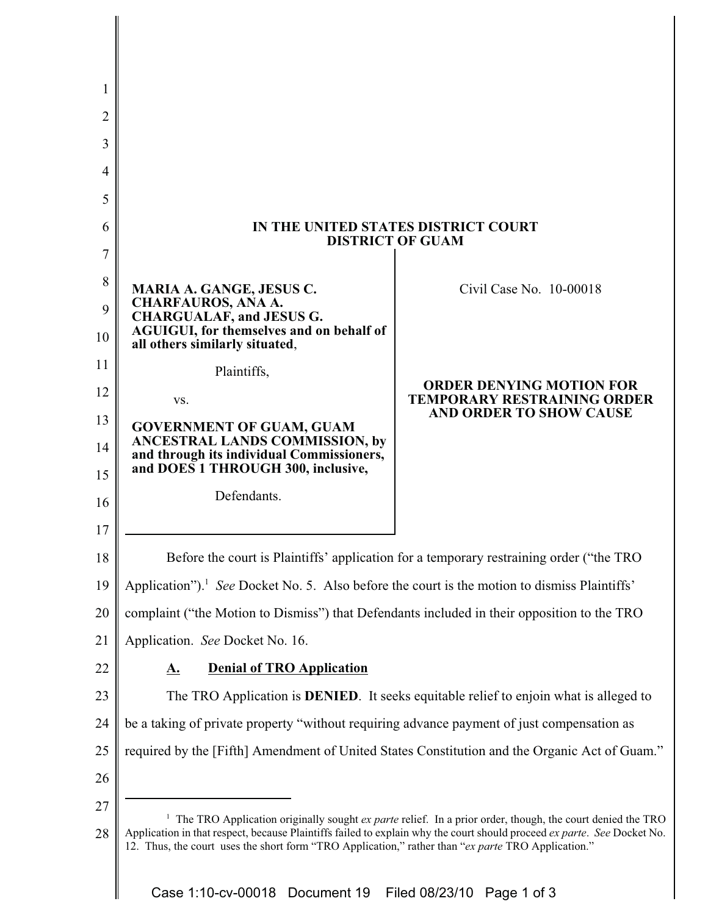| 1      |                                                                                                                                                                                                                                                                                                                                                           |                                                                                                         |
|--------|-----------------------------------------------------------------------------------------------------------------------------------------------------------------------------------------------------------------------------------------------------------------------------------------------------------------------------------------------------------|---------------------------------------------------------------------------------------------------------|
| 2      |                                                                                                                                                                                                                                                                                                                                                           |                                                                                                         |
| 3      |                                                                                                                                                                                                                                                                                                                                                           |                                                                                                         |
| 4      |                                                                                                                                                                                                                                                                                                                                                           |                                                                                                         |
| 5      |                                                                                                                                                                                                                                                                                                                                                           |                                                                                                         |
| 6      | IN THE UNITED STATES DISTRICT COURT<br><b>DISTRICT OF GUAM</b>                                                                                                                                                                                                                                                                                            |                                                                                                         |
| 7      |                                                                                                                                                                                                                                                                                                                                                           |                                                                                                         |
| 8<br>9 | <b>MARIA A. GANGE, JESUS C.</b><br><b>CHARFAUROS, ANA A.</b>                                                                                                                                                                                                                                                                                              | Civil Case No. 10-00018                                                                                 |
| 10     | <b>CHARGUALAF, and JESUS G.</b><br>AGUIGUI, for themselves and on behalf of<br>all others similarly situated,                                                                                                                                                                                                                                             | <b>ORDER DENYING MOTION FOR</b><br><b>TEMPORARY RESTRAINING ORDER</b><br><b>AND ORDER TO SHOW CAUSE</b> |
| 11     | Plaintiffs,                                                                                                                                                                                                                                                                                                                                               |                                                                                                         |
| 12     | VS.                                                                                                                                                                                                                                                                                                                                                       |                                                                                                         |
| 13     | <b>GOVERNMENT OF GUAM, GUAM</b><br>ANCESTRAL LANDS COMMISSION, by                                                                                                                                                                                                                                                                                         |                                                                                                         |
| 14     | and through its individual Commissioners,<br>and DOES 1 THROUGH 300, inclusive,                                                                                                                                                                                                                                                                           |                                                                                                         |
| 15     | Defendants.                                                                                                                                                                                                                                                                                                                                               |                                                                                                         |
| 16     |                                                                                                                                                                                                                                                                                                                                                           |                                                                                                         |
| 17     |                                                                                                                                                                                                                                                                                                                                                           |                                                                                                         |
| 18     | Before the court is Plaintiffs' application for a temporary restraining order ("the TRO                                                                                                                                                                                                                                                                   |                                                                                                         |
| 19     | Application"). <sup>1</sup> See Docket No. 5. Also before the court is the motion to dismiss Plaintiffs'                                                                                                                                                                                                                                                  |                                                                                                         |
| 20     | complaint ("the Motion to Dismiss") that Defendants included in their opposition to the TRO                                                                                                                                                                                                                                                               |                                                                                                         |
| 21     | Application. See Docket No. 16.                                                                                                                                                                                                                                                                                                                           |                                                                                                         |
| 22     | <b>Denial of TRO Application</b><br><u>A.</u>                                                                                                                                                                                                                                                                                                             |                                                                                                         |
| 23     | The TRO Application is DENIED. It seeks equitable relief to enjoin what is alleged to                                                                                                                                                                                                                                                                     |                                                                                                         |
| 24     | be a taking of private property "without requiring advance payment of just compensation as                                                                                                                                                                                                                                                                |                                                                                                         |
| 25     | required by the [Fifth] Amendment of United States Constitution and the Organic Act of Guam."                                                                                                                                                                                                                                                             |                                                                                                         |
| 26     |                                                                                                                                                                                                                                                                                                                                                           |                                                                                                         |
| 27     |                                                                                                                                                                                                                                                                                                                                                           |                                                                                                         |
| 28     | <sup>1</sup> The TRO Application originally sought $ex$ parte relief. In a prior order, though, the court denied the TRO<br>Application in that respect, because Plaintiffs failed to explain why the court should proceed ex parte. See Docket No.<br>12. Thus, the court uses the short form "TRO Application," rather than "ex parte TRO Application." |                                                                                                         |
|        |                                                                                                                                                                                                                                                                                                                                                           |                                                                                                         |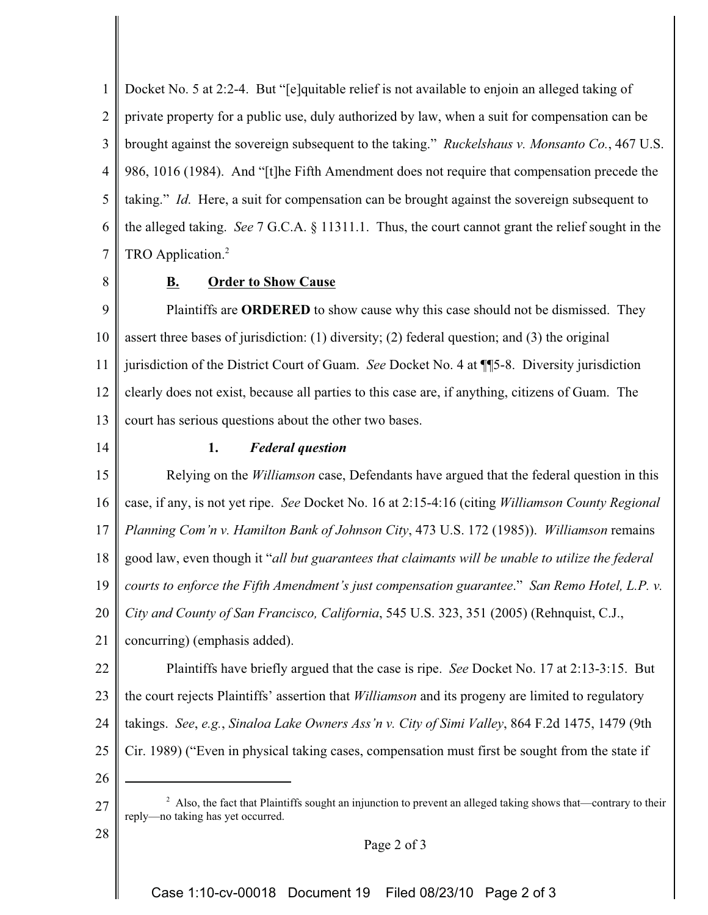1 2 3 4 5 6 7 Docket No. 5 at 2:2-4. But "[e]quitable relief is not available to enjoin an alleged taking of private property for a public use, duly authorized by law, when a suit for compensation can be brought against the sovereign subsequent to the taking." *Ruckelshaus v. Monsanto Co.*, 467 U.S. 986, 1016 (1984). And "[t]he Fifth Amendment does not require that compensation precede the taking." *Id*. Here, a suit for compensation can be brought against the sovereign subsequent to the alleged taking. *See* 7 G.C.A. § 11311.1. Thus, the court cannot grant the relief sought in the TRO Application.<sup>2</sup>

8

## **B. Order to Show Cause**

9 10 11 12 13 Plaintiffs are **ORDERED** to show cause why this case should not be dismissed. They assert three bases of jurisdiction: (1) diversity; (2) federal question; and (3) the original jurisdiction of the District Court of Guam. *See* Docket No. 4 at ¶¶5-8. Diversity jurisdiction clearly does not exist, because all parties to this case are, if anything, citizens of Guam. The court has serious questions about the other two bases.

14

### **1.** *Federal question*

15 16 17 18 19 20 21 22 Relying on the *Williamson* case, Defendants have argued that the federal question in this case, if any, is not yet ripe. *See* Docket No. 16 at 2:15-4:16 (citing *Williamson County Regional Planning Com'n v. Hamilton Bank of Johnson City*, 473 U.S. 172 (1985)). *Williamson* remains good law, even though it "*all but guarantees that claimants will be unable to utilize the federal courts to enforce the Fifth Amendment's just compensation guarantee*." *San Remo Hotel, L.P. v. City and County of San Francisco, California*, 545 U.S. 323, 351 (2005) (Rehnquist, C.J., concurring) (emphasis added). Plaintiffs have briefly argued that the case is ripe. *See* Docket No. 17 at 2:13-3:15. But

23 the court rejects Plaintiffs' assertion that *Williamson* and its progeny are limited to regulatory

24 takings. *See*, *e.g.*, *Sinaloa Lake Owners Ass'n v. City of Simi Valley*, 864 F.2d 1475, 1479 (9th

- 25 Cir. 1989) ("Even in physical taking cases, compensation must first be sought from the state if
- 26

27

28

- $2$  Also, the fact that Plaintiffs sought an injunction to prevent an alleged taking shows that—contrary to their reply—no taking has yet occurred.
	- Page 2 of 3